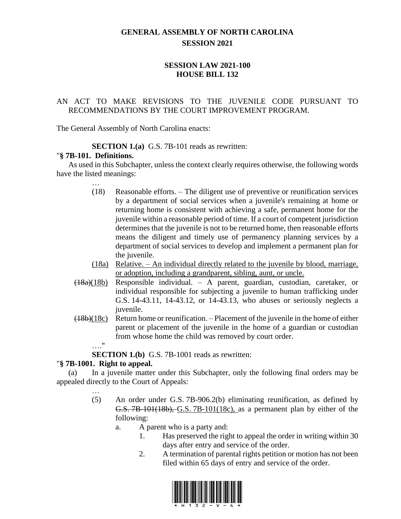# **GENERAL ASSEMBLY OF NORTH CAROLINA SESSION 2021**

# **SESSION LAW 2021-100 HOUSE BILL 132**

# AN ACT TO MAKE REVISIONS TO THE JUVENILE CODE PURSUANT TO RECOMMENDATIONS BY THE COURT IMPROVEMENT PROGRAM.

The General Assembly of North Carolina enacts:

**SECTION 1.(a)** G.S. 7B-101 reads as rewritten:

#### "**§ 7B-101. Definitions.**

As used in this Subchapter, unless the context clearly requires otherwise, the following words have the listed meanings:

- … (18) Reasonable efforts. – The diligent use of preventive or reunification services by a department of social services when a juvenile's remaining at home or returning home is consistent with achieving a safe, permanent home for the juvenile within a reasonable period of time. If a court of competent jurisdiction determines that the juvenile is not to be returned home, then reasonable efforts means the diligent and timely use of permanency planning services by a department of social services to develop and implement a permanent plan for the juvenile.
- (18a) Relative. An individual directly related to the juvenile by blood, marriage, or adoption, including a grandparent, sibling, aunt, or uncle.
- $(18a)(18b)$  Responsible individual. A parent, guardian, custodian, caretaker, or individual responsible for subjecting a juvenile to human trafficking under G.S. 14-43.11, 14-43.12, or 14-43.13, who abuses or seriously neglects a juvenile.
- (18b)(18c) Return home or reunification. Placement of the juvenile in the home of either parent or placement of the juvenile in the home of a guardian or custodian from whose home the child was removed by court order.
	- …"

**SECTION 1.(b)** G.S. 7B-1001 reads as rewritten:

### "**§ 7B-1001. Right to appeal.**

(a) In a juvenile matter under this Subchapter, only the following final orders may be appealed directly to the Court of Appeals:

- …
- (5) An order under G.S. 7B-906.2(b) eliminating reunification, as defined by G.S. 7B-101(18b), G.S. 7B-101(18c), as a permanent plan by either of the following:
	- a. A parent who is a party and:
		- 1. Has preserved the right to appeal the order in writing within 30 days after entry and service of the order.
		- 2. A termination of parental rights petition or motion has not been filed within 65 days of entry and service of the order.

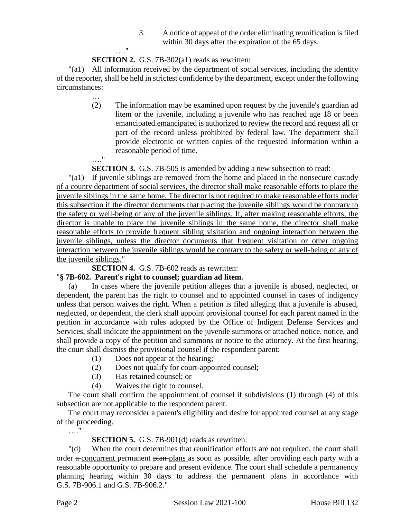3. A notice of appeal of the order eliminating reunification is filed within 30 days after the expiration of the 65 days.

### …." **SECTION 2.** G.S. 7B-302(a1) reads as rewritten:

"(a1) All information received by the department of social services, including the identity of the reporter, shall be held in strictest confidence by the department, except under the following circumstances:

> … (2) The information may be examined upon request by the juvenile's guardian ad litem or the juvenile, including a juvenile who has reached age 18 or been emancipated.emancipated is authorized to review the record and request all or part of the record unless prohibited by federal law. The department shall provide electronic or written copies of the requested information within a reasonable period of time. …."

**SECTION 3.** G.S. 7B-505 is amended by adding a new subsection to read:

"(a1) If juvenile siblings are removed from the home and placed in the nonsecure custody of a county department of social services, the director shall make reasonable efforts to place the juvenile siblings in the same home. The director is not required to make reasonable efforts under this subsection if the director documents that placing the juvenile siblings would be contrary to the safety or well-being of any of the juvenile siblings. If, after making reasonable efforts, the director is unable to place the juvenile siblings in the same home, the director shall make reasonable efforts to provide frequent sibling visitation and ongoing interaction between the juvenile siblings, unless the director documents that frequent visitation or other ongoing interaction between the juvenile siblings would be contrary to the safety or well-being of any of the juvenile siblings."

**SECTION 4.** G.S. 7B-602 reads as rewritten:

### "**§ 7B-602. Parent's right to counsel; guardian ad litem.**

(a) In cases where the juvenile petition alleges that a juvenile is abused, neglected, or dependent, the parent has the right to counsel and to appointed counsel in cases of indigency unless that person waives the right. When a petition is filed alleging that a juvenile is abused, neglected, or dependent, the clerk shall appoint provisional counsel for each parent named in the petition in accordance with rules adopted by the Office of Indigent Defense Services and Services, shall indicate the appointment on the juvenile summons or attached notice, notice, and shall provide a copy of the petition and summons or notice to the attorney. At the first hearing, the court shall dismiss the provisional counsel if the respondent parent:

- (1) Does not appear at the hearing;
- (2) Does not qualify for court-appointed counsel;
- (3) Has retained counsel; or
- (4) Waives the right to counsel.

The court shall confirm the appointment of counsel if subdivisions (1) through (4) of this subsection are not applicable to the respondent parent.

The court may reconsider a parent's eligibility and desire for appointed counsel at any stage of the proceeding.

…."

### **SECTION 5.** G.S. 7B-901(d) reads as rewritten:

"(d) When the court determines that reunification efforts are not required, the court shall order a concurrent permanent plan plans as soon as possible, after providing each party with a reasonable opportunity to prepare and present evidence. The court shall schedule a permanency planning hearing within 30 days to address the permanent plans in accordance with G.S. 7B-906.1 and G.S. 7B-906.2."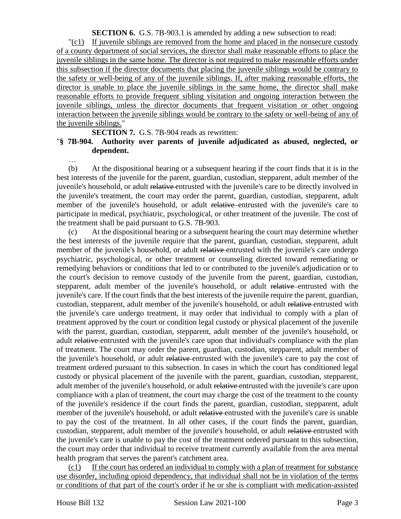**SECTION 6.** G.S. 7B-903.1 is amended by adding a new subsection to read:

"(c1) If juvenile siblings are removed from the home and placed in the nonsecure custody of a county department of social services, the director shall make reasonable efforts to place the juvenile siblings in the same home. The director is not required to make reasonable efforts under this subsection if the director documents that placing the juvenile siblings would be contrary to the safety or well-being of any of the juvenile siblings. If, after making reasonable efforts, the director is unable to place the juvenile siblings in the same home, the director shall make reasonable efforts to provide frequent sibling visitation and ongoing interaction between the juvenile siblings, unless the director documents that frequent visitation or other ongoing interaction between the juvenile siblings would be contrary to the safety or well-being of any of the juvenile siblings."

**SECTION 7.** G.S. 7B-904 reads as rewritten:

#### "**§ 7B-904. Authority over parents of juvenile adjudicated as abused, neglected, or dependent.**

(b) At the dispositional hearing or a subsequent hearing if the court finds that it is in the best interests of the juvenile for the parent, guardian, custodian, stepparent, adult member of the juvenile's household, or adult relative entrusted with the juvenile's care to be directly involved in the juvenile's treatment, the court may order the parent, guardian, custodian, stepparent, adult member of the juvenile's household, or adult relative entrusted with the juvenile's care to participate in medical, psychiatric, psychological, or other treatment of the juvenile. The cost of the treatment shall be paid pursuant to G.S. 7B-903.

(c) At the dispositional hearing or a subsequent hearing the court may determine whether the best interests of the juvenile require that the parent, guardian, custodian, stepparent, adult member of the juvenile's household, or adult relative entrusted with the juvenile's care undergo psychiatric, psychological, or other treatment or counseling directed toward remediating or remedying behaviors or conditions that led to or contributed to the juvenile's adjudication or to the court's decision to remove custody of the juvenile from the parent, guardian, custodian, stepparent, adult member of the juvenile's household, or adult relative entrusted with the juvenile's care. If the court finds that the best interests of the juvenile require the parent, guardian, custodian, stepparent, adult member of the juvenile's household, or adult relative entrusted with the juvenile's care undergo treatment, it may order that individual to comply with a plan of treatment approved by the court or condition legal custody or physical placement of the juvenile with the parent, guardian, custodian, stepparent, adult member of the juvenile's household, or adult relative entrusted with the juvenile's care upon that individual's compliance with the plan of treatment. The court may order the parent, guardian, custodian, stepparent, adult member of the juvenile's household, or adult relative entrusted with the juvenile's care to pay the cost of treatment ordered pursuant to this subsection. In cases in which the court has conditioned legal custody or physical placement of the juvenile with the parent, guardian, custodian, stepparent, adult member of the juvenile's household, or adult relative entrusted with the juvenile's care upon compliance with a plan of treatment, the court may charge the cost of the treatment to the county of the juvenile's residence if the court finds the parent, guardian, custodian, stepparent, adult member of the juvenile's household, or adult relative entrusted with the juvenile's care is unable to pay the cost of the treatment. In all other cases, if the court finds the parent, guardian, custodian, stepparent, adult member of the juvenile's household, or adult relative entrusted with the juvenile's care is unable to pay the cost of the treatment ordered pursuant to this subsection, the court may order that individual to receive treatment currently available from the area mental health program that serves the parent's catchment area.

(c1) If the court has ordered an individual to comply with a plan of treatment for substance use disorder, including opioid dependency, that individual shall not be in violation of the terms or conditions of that part of the court's order if he or she is compliant with medication-assisted

…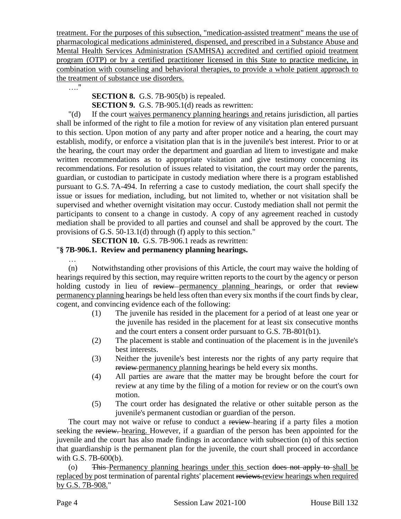treatment. For the purposes of this subsection, "medication-assisted treatment" means the use of pharmacological medications administered, dispensed, and prescribed in a Substance Abuse and Mental Health Services Administration (SAMHSA) accredited and certified opioid treatment program (OTP) or by a certified practitioner licensed in this State to practice medicine, in combination with counseling and behavioral therapies, to provide a whole patient approach to the treatment of substance use disorders.

…."

**SECTION 8.** G.S. 7B-905(b) is repealed. **SECTION 9.** G.S. 7B-905.1(d) reads as rewritten:

"(d) If the court waives permanency planning hearings and retains jurisdiction, all parties shall be informed of the right to file a motion for review of any visitation plan entered pursuant to this section. Upon motion of any party and after proper notice and a hearing, the court may establish, modify, or enforce a visitation plan that is in the juvenile's best interest. Prior to or at the hearing, the court may order the department and guardian ad litem to investigate and make written recommendations as to appropriate visitation and give testimony concerning its recommendations. For resolution of issues related to visitation, the court may order the parents, guardian, or custodian to participate in custody mediation where there is a program established pursuant to G.S. 7A-494. In referring a case to custody mediation, the court shall specify the issue or issues for mediation, including, but not limited to, whether or not visitation shall be supervised and whether overnight visitation may occur. Custody mediation shall not permit the participants to consent to a change in custody. A copy of any agreement reached in custody mediation shall be provided to all parties and counsel and shall be approved by the court. The provisions of G.S. 50-13.1(d) through (f) apply to this section."

**SECTION 10.** G.S. 7B-906.1 reads as rewritten:

### "**§ 7B-906.1. Review and permanency planning hearings.**

…

(n) Notwithstanding other provisions of this Article, the court may waive the holding of hearings required by this section, may require written reports to the court by the agency or person holding custody in lieu of review permanency planning hearings, or order that review permanency planning hearings be held less often than every six months if the court finds by clear, cogent, and convincing evidence each of the following:

- (1) The juvenile has resided in the placement for a period of at least one year or the juvenile has resided in the placement for at least six consecutive months and the court enters a consent order pursuant to G.S. 7B-801(b1).
- (2) The placement is stable and continuation of the placement is in the juvenile's best interests.
- (3) Neither the juvenile's best interests nor the rights of any party require that review permanency planning hearings be held every six months.
- (4) All parties are aware that the matter may be brought before the court for review at any time by the filing of a motion for review or on the court's own motion.
- (5) The court order has designated the relative or other suitable person as the juvenile's permanent custodian or guardian of the person.

The court may not waive or refuse to conduct a review-hearing if a party files a motion seeking the review. hearing. However, if a guardian of the person has been appointed for the juvenile and the court has also made findings in accordance with subsection (n) of this section that guardianship is the permanent plan for the juvenile, the court shall proceed in accordance with G.S. 7B-600(b).

(o) This Permanency planning hearings under this section does not apply to shall be replaced by post termination of parental rights' placement reviews.review hearings when required by G.S. 7B-908."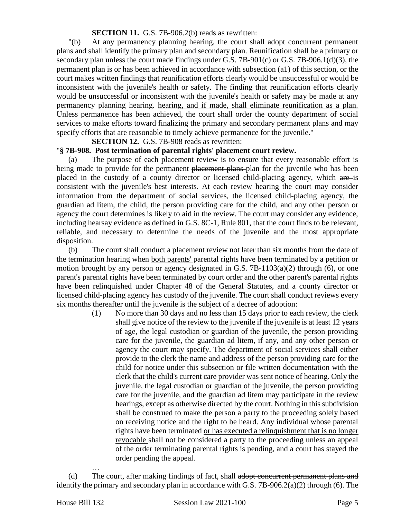#### **SECTION 11.** G.S. 7B-906.2(b) reads as rewritten:

"(b) At any permanency planning hearing, the court shall adopt concurrent permanent plans and shall identify the primary plan and secondary plan. Reunification shall be a primary or secondary plan unless the court made findings under G.S. 7B-901(c) or G.S. 7B-906.1(d)(3), the permanent plan is or has been achieved in accordance with subsection (a1) of this section, or the court makes written findings that reunification efforts clearly would be unsuccessful or would be inconsistent with the juvenile's health or safety. The finding that reunification efforts clearly would be unsuccessful or inconsistent with the juvenile's health or safety may be made at any permanency planning hearing. hearing, and if made, shall eliminate reunification as a plan. Unless permanence has been achieved, the court shall order the county department of social services to make efforts toward finalizing the primary and secondary permanent plans and may specify efforts that are reasonable to timely achieve permanence for the juvenile."

**SECTION 12.** G.S. 7B-908 reads as rewritten:

#### "**§ 7B-908. Post termination of parental rights' placement court review.**

(a) The purpose of each placement review is to ensure that every reasonable effort is being made to provide for the permanent placement plans plan for the juvenile who has been placed in the custody of a county director or licensed child-placing agency, which are is consistent with the juvenile's best interests. At each review hearing the court may consider information from the department of social services, the licensed child-placing agency, the guardian ad litem, the child, the person providing care for the child, and any other person or agency the court determines is likely to aid in the review. The court may consider any evidence, including hearsay evidence as defined in G.S. 8C-1, Rule 801, that the court finds to be relevant, reliable, and necessary to determine the needs of the juvenile and the most appropriate disposition.

(b) The court shall conduct a placement review not later than six months from the date of the termination hearing when both parents' parental rights have been terminated by a petition or motion brought by any person or agency designated in G.S.  $7B-1103(a)(2)$  through (6), or one parent's parental rights have been terminated by court order and the other parent's parental rights have been relinquished under Chapter 48 of the General Statutes, and a county director or licensed child-placing agency has custody of the juvenile. The court shall conduct reviews every six months thereafter until the juvenile is the subject of a decree of adoption:

> (1) No more than 30 days and no less than 15 days prior to each review, the clerk shall give notice of the review to the juvenile if the juvenile is at least 12 years of age, the legal custodian or guardian of the juvenile, the person providing care for the juvenile, the guardian ad litem, if any, and any other person or agency the court may specify. The department of social services shall either provide to the clerk the name and address of the person providing care for the child for notice under this subsection or file written documentation with the clerk that the child's current care provider was sent notice of hearing. Only the juvenile, the legal custodian or guardian of the juvenile, the person providing care for the juvenile, and the guardian ad litem may participate in the review hearings, except as otherwise directed by the court. Nothing in this subdivision shall be construed to make the person a party to the proceeding solely based on receiving notice and the right to be heard. Any individual whose parental rights have been terminated or has executed a relinquishment that is no longer revocable shall not be considered a party to the proceeding unless an appeal of the order terminating parental rights is pending, and a court has stayed the order pending the appeal.

…

<sup>(</sup>d) The court, after making findings of fact, shall adopt concurrent permanent plans and identify the primary and secondary plan in accordance with G.S. 7B-906.2(a)(2) through (6). The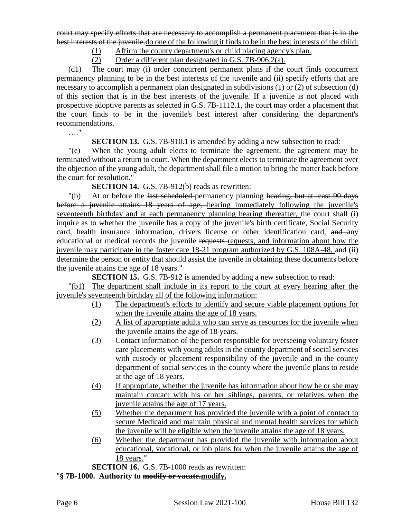court may specify efforts that are necessary to accomplish a permanent placement that is in the best interests of the juvenile.do one of the following it finds to be in the best interests of the child:

(1) Affirm the county department's or child placing agency's plan.

(2) Order a different plan designated in G.S. 7B-906.2(a).

(d1) The court may (i) order concurrent permanent plans if the court finds concurrent permanency planning to be in the best interests of the juvenile and (ii) specify efforts that are necessary to accomplish a permanent plan designated in subdivisions (1) or (2) of subsection (d) of this section that is in the best interests of the juvenile. If a juvenile is not placed with prospective adoptive parents as selected in G.S. 7B-1112.1, the court may order a placement that the court finds to be in the juvenile's best interest after considering the department's recommendations.

…."

**SECTION 13.** G.S. 7B-910.1 is amended by adding a new subsection to read:

"(e) When the young adult elects to terminate the agreement, the agreement may be terminated without a return to court. When the department elects to terminate the agreement over the objection of the young adult, the department shall file a motion to bring the matter back before the court for resolution."

**SECTION 14.** G.S. 7B-912(b) reads as rewritten:

"(b) At or before the last scheduled-permanency planning hearing, but at least 90 days before a juvenile attains 18 years of age, hearing immediately following the juvenile's seventeenth birthday and at each permanency planning hearing thereafter, the court shall (i) inquire as to whether the juvenile has a copy of the juvenile's birth certificate, Social Security card, health insurance information, drivers license or other identification card, and any educational or medical records the juvenile requests requests, and information about how the juvenile may participate in the foster care 18-21 program authorized by G.S. 108A-48, and (ii) determine the person or entity that should assist the juvenile in obtaining these documents before the juvenile attains the age of 18 years."

**SECTION 15.** G.S. 7B-912 is amended by adding a new subsection to read:

"(b1) The department shall include in its report to the court at every hearing after the juvenile's seventeenth birthday all of the following information:

- (1) The department's efforts to identify and secure viable placement options for when the juvenile attains the age of 18 years.
- (2) A list of appropriate adults who can serve as resources for the juvenile when the juvenile attains the age of 18 years.
- (3) Contact information of the person responsible for overseeing voluntary foster care placements with young adults in the county department of social services with custody or placement responsibility of the juvenile and in the county department of social services in the county where the juvenile plans to reside at the age of 18 years.
- (4) If appropriate, whether the juvenile has information about how he or she may maintain contact with his or her siblings, parents, or relatives when the juvenile attains the age of 17 years.
- (5) Whether the department has provided the juvenile with a point of contact to secure Medicaid and maintain physical and mental health services for which the juvenile will be eligible when the juvenile attains the age of 18 years.
- (6) Whether the department has provided the juvenile with information about educational, vocational, or job plans for when the juvenile attains the age of 18 years."

**SECTION 16.** G.S. 7B-1000 reads as rewritten:

"**§ 7B-1000. Authority to modify or vacate.modify.**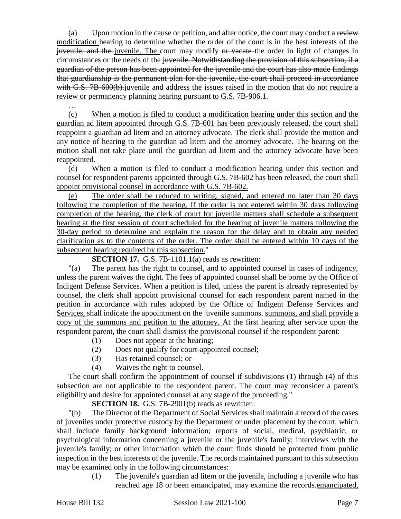(a) Upon motion in the cause or petition, and after notice, the court may conduct a review modification hearing to determine whether the order of the court is in the best interests of the juvenile, and the juvenile. The court may modify or vacate the order in light of changes in circumstances or the needs of the juvenile. Notwithstanding the provision of this subsection, if a guardian of the person has been appointed for the juvenile and the court has also made findings that guardianship is the permanent plan for the juvenile, the court shall proceed in accordance with G.S. 7B-600(b). juvenile and address the issues raised in the motion that do not require a review or permanency planning hearing pursuant to G.S. 7B-906.1.

(c) When a motion is filed to conduct a modification hearing under this section and the guardian ad litem appointed through G.S. 7B-601 has been previously released, the court shall reappoint a guardian ad litem and an attorney advocate. The clerk shall provide the motion and any notice of hearing to the guardian ad litem and the attorney advocate. The hearing on the motion shall not take place until the guardian ad litem and the attorney advocate have been reappointed.

(d) When a motion is filed to conduct a modification hearing under this section and counsel for respondent parents appointed through G.S. 7B-602 has been released, the court shall appoint provisional counsel in accordance with G.S. 7B-602.

(e) The order shall be reduced to writing, signed, and entered no later than 30 days following the completion of the hearing. If the order is not entered within 30 days following completion of the hearing, the clerk of court for juvenile matters shall schedule a subsequent hearing at the first session of court scheduled for the hearing of juvenile matters following the 30-day period to determine and explain the reason for the delay and to obtain any needed clarification as to the contents of the order. The order shall be entered within 10 days of the subsequent hearing required by this subsection."

### **SECTION 17.** G.S. 7B-1101.1(a) reads as rewritten:

"(a) The parent has the right to counsel, and to appointed counsel in cases of indigency, unless the parent waives the right. The fees of appointed counsel shall be borne by the Office of Indigent Defense Services. When a petition is filed, unless the parent is already represented by counsel, the clerk shall appoint provisional counsel for each respondent parent named in the petition in accordance with rules adopted by the Office of Indigent Defense Services and Services, shall indicate the appointment on the juvenile summons. summons, and shall provide a copy of the summons and petition to the attorney. At the first hearing after service upon the respondent parent, the court shall dismiss the provisional counsel if the respondent parent:

- (1) Does not appear at the hearing;
- (2) Does not qualify for court-appointed counsel;
- (3) Has retained counsel; or
- (4) Waives the right to counsel.

The court shall confirm the appointment of counsel if subdivisions (1) through (4) of this subsection are not applicable to the respondent parent. The court may reconsider a parent's eligibility and desire for appointed counsel at any stage of the proceeding."

**SECTION 18.** G.S. 7B-2901(b) reads as rewritten:

"(b) The Director of the Department of Social Services shall maintain a record of the cases of juveniles under protective custody by the Department or under placement by the court, which shall include family background information; reports of social, medical, psychiatric, or psychological information concerning a juvenile or the juvenile's family; interviews with the juvenile's family; or other information which the court finds should be protected from public inspection in the best interests of the juvenile. The records maintained pursuant to this subsection may be examined only in the following circumstances:

> (1) The juvenile's guardian ad litem or the juvenile, including a juvenile who has reached age 18 or been emancipated, may examine the records.emancipated,

…